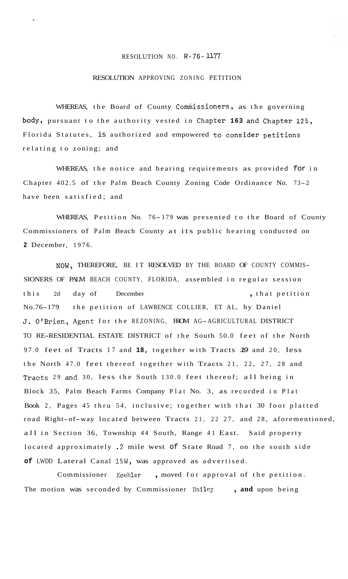## RESOLUTION NO. R-76- 1177

À

## RESOLUTION APPROVING ZONING PETITION

WHEREAS, the Board of County Commissioners, as the governing body, pursuant to the authority vested in Chapter **163** and Chapter 125, Florida Statutes, is authorized and empowered to consider petitions relating to zoning; and

WHEREAS, the notice and hearing requirements as provided for in Chapter 402.5 of the Palm Beach County Zoning Code Ordinance No. 73-2 have been satisfied; and

WHEREAS, Petition No. 76-179 was presented to the Board of County Commissioners of Palm Beach County at its public hearing conducted on **2** December, 1976.

NOW, THEREFORE, BE IT RESOLVED BY THE BOARD OF COUNTY COMMIS-SIONERS OF PALM BEACH COUNTY, FLORIDA, assembled in regular session this 2d day of December , that petition No.76-179 the petition of LAWRENCE COLLIER, ET AL, by Daniel **J.** O'Brien, Agent for the REZONING, FROM AG-AGRICULTURAL DISTRICT TO RE-RESIDENTIAL ESTATE DISTRICT of the South 50.0 feet of the North 97.0 feet of Tracts 17 and **18,** together with Tracts *19* and 20, less the North 47.0 feet thereof together with Tracts 21, 22, 27, 28 and Tracts 29 and 30, less the South 130.0 feet thereof; all being in Block 35, Palm Beach Farms Company Plat No. 3, as recorded in Plat Book 2, Pages 45 thru 54, inclusive; together with that 30 foot platted road Right-of-way located between Tracts 21, 22 27, and 28, aforementioned, all in Section 36, Township 44 South, Range 41 East. Said property located approximately .2 mile west of State Road 7, on the south side **of** LWDD Lateral Canal 15W, was approved as advertised.

Commissioner **Koehler** , moved for approval of the petition. The motion was seconded by Commissioner Bailey , and upon being